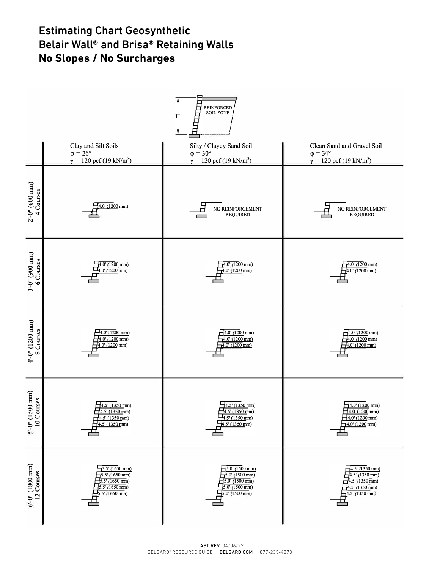# **Estimating Chart Geosynthetic Extinction** Belair Wall® and Brisa® Retaining Walls<br>No Slones / No Surcharges **No Slopes / No Surcharges**

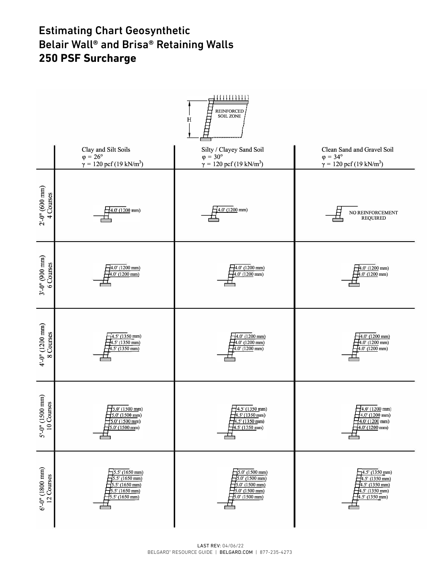#### Estimating Chart Geosynthetic Belair Wall® and Brisa® Retaining Walls **250 PSF Surcharge** rating Chart Geosynthetic<br>r.Wall® and Briea® Betaining Walls with and Brisa. Retaining walls<br>Surcharge

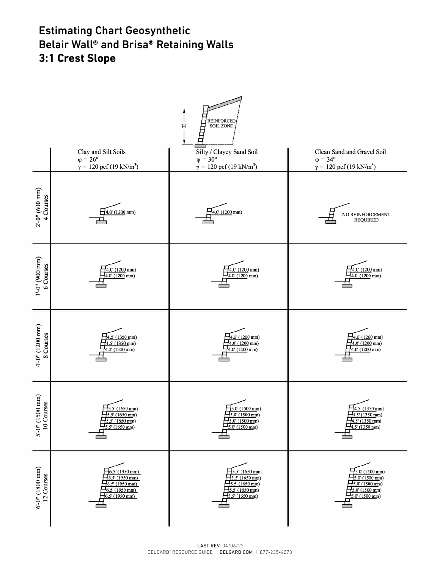# **Estimating Chart Geosynthetic** Belair Wall® and Brisa® Retaining Walls 3:1 Crest Slope

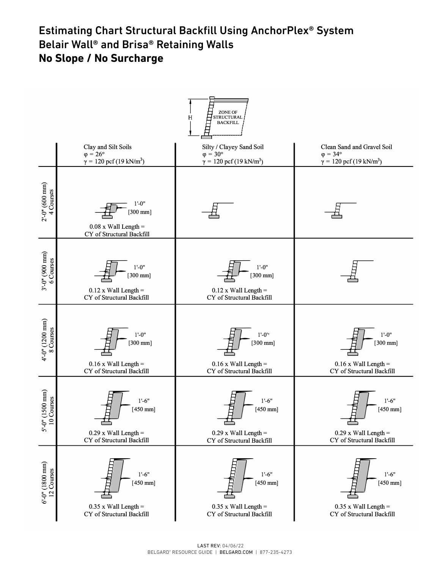## Estimating Chart Structural Backfill Using AnchorPlex® System<br>Palain Wall® and Prizz® Rataining Walls Belair Wall® and Brisa® Retaining Walls<br>No Slope / No Surcharge **No Slope / No Surcharge**

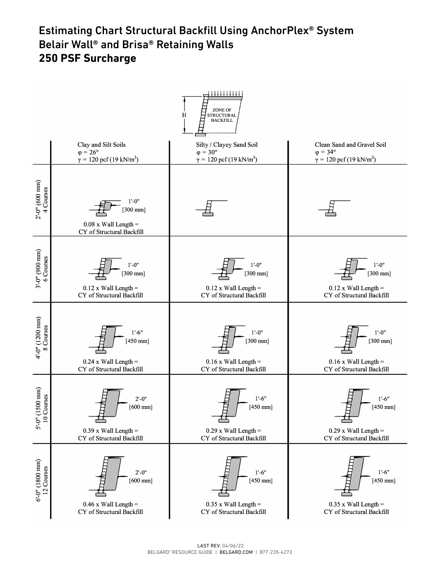# **Estimating Chart Structural Backfill Using AnchorPlex® System with Belair Wall® Retaining Wall Systems**  Belair Wall® and Brisa® Retaining Walls **250 PSF Surcharge**

|                                  |                                                                                                  | . <del>.</del> .<br>ZONE OF<br>$\mathbf H$<br>STRUCTURAL<br>BACKFILL                                  |                                                                                                         |
|----------------------------------|--------------------------------------------------------------------------------------------------|-------------------------------------------------------------------------------------------------------|---------------------------------------------------------------------------------------------------------|
|                                  | Clay and Silt Soils<br>$\varphi = 26^{\circ}$<br>$\gamma = 120 \text{ pcf } (19 \text{ kN/m}^3)$ | Silty / Clayey Sand Soil<br>$\varphi = 30^{\circ}$<br>$\gamma = 120 \text{ pcf } (19 \text{ kN/m}^3)$ | Clean Sand and Gravel Soil<br>$\varphi = 34^{\circ}$<br>$\gamma = 120 \text{ pcf } (19 \text{ kN/m}^3)$ |
| $2'-0''$ (600 mm)<br>4 Courses   | $1' - 0''$<br>$[300$ mm]<br>$0.08$ x Wall Length =<br>CY of Structural Backfill                  |                                                                                                       |                                                                                                         |
| $3'-0''$ (900 mm)<br>6 Courses   | $1'-0''$<br>$[300$ mm]<br>$0.12$ x Wall Length =<br>CY of Structural Backfill                    | $1' - 0''$<br>$[300$ mm]<br>$0.12$ x Wall Length =<br>CY of Structural Backfill                       | $1'-0''$<br>$[300$ mm]<br>$0.12$ x Wall Length =<br>CY of Structural Backfill                           |
| 4'-0" (1200 mm)<br>8 Courses     | $1'-6''$<br>$[450$ mm]<br>$0.24$ x Wall Length =<br>CY of Structural Backfill                    | $1'-0''$<br>$[300$ mm]<br>$0.16$ x Wall Length =<br>CY of Structural Backfill                         | $1' - 0''$<br>$[300$ mm]<br>$0.16$ x Wall Length =<br>CY of Structural Backfill                         |
| 5'-0" (1500 mm)<br>10 Courses    | $2' - 0''$<br>$[600$ mm]<br>$0.39$ x Wall Length =<br>CY of Structural Backfill                  | $1'-6''$<br>$[450 \text{ mm}]$<br>$0.29$ x Wall Length =<br>CY of Structural Backfill                 | $1'-6"$<br>$[450 \text{ mm}]$<br>$0.29$ x Wall Length =<br>CY of Structural Backfill                    |
| $6'-0''$ (1800 mm)<br>12 Courses | $2' - 0''$<br>$[600$ mm]<br>$0.46$ x Wall Length =<br>CY of Structural Backfill                  | $1'-6"$<br>$[450$ mm]<br>$0.35$ x Wall Length =<br>CY of Structural Backfill                          | $1'-6''$<br>$[450$ mm]<br>$0.35$ x Wall Length =<br>CY of Structural Backfill                           |